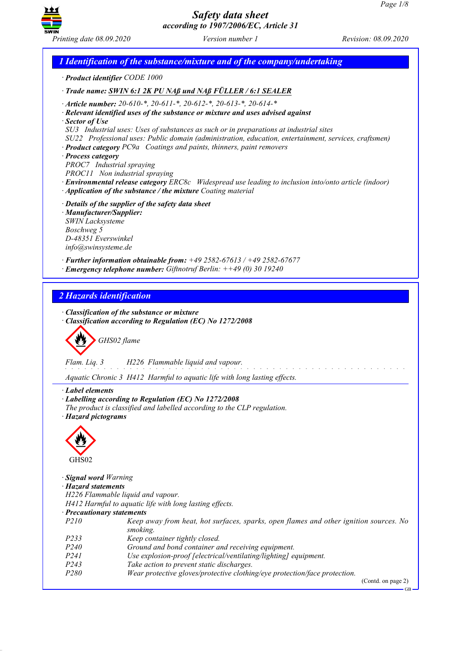

*1 Identification of the substance/mixture and of the company/undertaking · Product identifier CODE 1000 · Trade name: SWIN 6:1 2K PU NAß und NAß FÜLLER / 6:1 SEALER · Article number: 20-610-\*, 20-611-\*, 20-612-\*, 20-613-\*, 20-614-\* · Relevant identified uses of the substance or mixture and uses advised against · Sector of Use SU3 Industrial uses: Uses of substances as such or in preparations at industrial sites SU22 Professional uses: Public domain (administration, education, entertainment, services, craftsmen) · Product category PC9a Coatings and paints, thinners, paint removers · Process category PROC7 Industrial spraying PROC11 Non industrial spraying · Environmental release category ERC8c Widespread use leading to inclusion into/onto article (indoor) · Application of the substance / the mixture Coating material · Details of the supplier of the safety data sheet · Manufacturer/Supplier: SWIN Lacksysteme Boschweg 5 D-48351 Everswinkel info@swinsysteme.de · Further information obtainable from: +49 2582-67613 / +49 2582-67677 · Emergency telephone number: Giftnotruf Berlin: ++49 (0) 30 19240 2 Hazards identification · Classification of the substance or mixture · Classification according to Regulation (EC) No 1272/2008 GHS02 flame Flam. Liq. 3 H226 Flammable liquid and vapour.* <u>.</u> . . . . . . . . . . . . . . . . . *Aquatic Chronic 3 H412 Harmful to aquatic life with long lasting effects. · Label elements · Labelling according to Regulation (EC) No 1272/2008 The product is classified and labelled according to the CLP regulation. · Hazard pictograms* E GHS02 *· Signal word Warning · Hazard statements H226 Flammable liquid and vapour. H412 Harmful to aquatic life with long lasting effects. · Precautionary statements P210 Keep away from heat, hot surfaces, sparks, open flames and other ignition sources. No smoking. P233 Keep container tightly closed. P240 Ground and bond container and receiving equipment. P241 Use explosion-proof [electrical/ventilating/lighting] equipment. P243 Take action to prevent static discharges. P280 Wear protective gloves/protective clothing/eye protection/face protection.* (Contd. on page 2) GB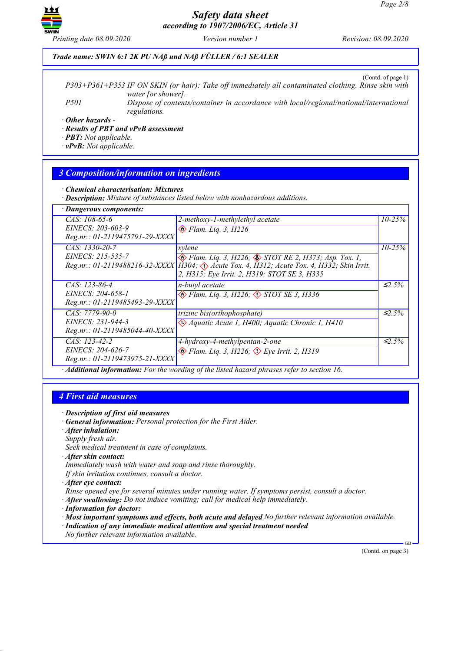

*Printing date 08.09.2020 Version number 1 Revision: 08.09.2020*

### *Trade name: SWIN 6:1 2K PU NAß und NAß FÜLLER / 6:1 SEALER*

(Contd. of page 1)

*P303+P361+P353 IF ON SKIN (or hair): Take off immediately all contaminated clothing. Rinse skin with water [or shower]. P501 Dispose of contents/container in accordance with local/regional/national/international regulations.*

*· Other hazards -*

*· Results of PBT and vPvB assessment*

*· PBT: Not applicable.*

*· vPvB: Not applicable.*

## *3 Composition/information on ingredients*

#### *· Chemical characterisation: Mixtures*

*· Description: Mixture of substances listed below with nonhazardous additions.*

| · Dangerous components:        |                                                                                             |                        |
|--------------------------------|---------------------------------------------------------------------------------------------|------------------------|
| $CAS: 108-65-6$                | 2-methoxy-1-methylethyl acetate                                                             | $10 - 25\%$            |
| EINECS: 203-603-9              | $\otimes$ Flam. Liq. 3, H226                                                                |                        |
| Reg.nr.: 01-2119475791-29-XXXX |                                                                                             |                        |
| CAS: 1330-20-7                 | xylene                                                                                      | $10 - 25%$             |
| $EINECS: 215-535-7$            | $\otimes$ Flam. Liq. 3, H226; $\otimes$ STOT RE 2, H373; Asp. Tox. 1,                       |                        |
|                                | Reg.nr.: 01-2119488216-32-XXXX   H304; Acute Tox. 4, H312; Acute Tox. 4, H332; Skin Irrit.  |                        |
|                                | 2, H315; Eye Irrit. 2, H319; STOT SE 3, H335                                                |                        |
| $CAS: 123-86-4$                | n-butyl acetate                                                                             | $\leq 2.5\%$           |
| EINECS: 204-658-1              | $\otimes$ Flam. Liq. 3, H226; $\otimes$ STOT SE 3, H336                                     |                        |
| Reg.nr.: 01-2119485493-29-XXXX |                                                                                             |                        |
| $CAS: 7779-90-0$               | trizinc bis(orthophosphate)                                                                 | $\overline{\leq}$ 2.5% |
| EINECS: 231-944-3              | Aquatic Acute 1, H400; Aquatic Chronic 1, H410                                              |                        |
| Reg.nr.: 01-2119485044-40-XXXX |                                                                                             |                        |
| $CAS: 123-42-2$                | 4-hydroxy-4-methylpentan-2-one                                                              | $\leq 2.5\%$           |
| <i>EINECS: 204-626-7</i>       | $\otimes$ Flam. Lig. 3, H226; $\otimes$ Eye Irrit. 2, H319                                  |                        |
| Reg.nr.: 01-2119473975-21-XXXX |                                                                                             |                        |
|                                | · Additional information: For the wording of the listed hazard phrases refer to section 16. |                        |

### *4 First aid measures*

- *· Description of first aid measures*
- *· General information: Personal protection for the First Aider.*
- *· After inhalation:*
- *Supply fresh air.*
- *Seek medical treatment in case of complaints.*
- *· After skin contact:*
- *Immediately wash with water and soap and rinse thoroughly.*
- *If skin irritation continues, consult a doctor.*
- *· After eye contact:*

*Rinse opened eye for several minutes under running water. If symptoms persist, consult a doctor.*

- *· After swallowing: Do not induce vomiting; call for medical help immediately.*
- *· Information for doctor:*
- *· Most important symptoms and effects, both acute and delayed No further relevant information available.*
- *· Indication of any immediate medical attention and special treatment needed*
- *No further relevant information available.*

(Contd. on page 3)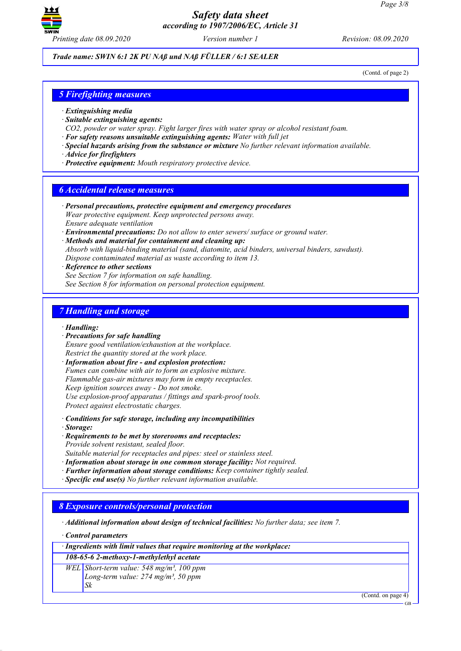

*Printing date 08.09.2020 Version number 1 Revision: 08.09.2020*

*Trade name: SWIN 6:1 2K PU NAß und NAß FÜLLER / 6:1 SEALER*

(Contd. of page 2)

# *5 Firefighting measures*

- *· Extinguishing media*
- *· Suitable extinguishing agents:*
- *CO2, powder or water spray. Fight larger fires with water spray or alcohol resistant foam.*
- *· For safety reasons unsuitable extinguishing agents: Water with full jet*
- *· Special hazards arising from the substance or mixture No further relevant information available.*
- *· Advice for firefighters*
- *· Protective equipment: Mouth respiratory protective device.*

### *6 Accidental release measures*

- *· Personal precautions, protective equipment and emergency procedures Wear protective equipment. Keep unprotected persons away. Ensure adequate ventilation*
- *· Environmental precautions: Do not allow to enter sewers/ surface or ground water.*
- *· Methods and material for containment and cleaning up:*
- *Absorb with liquid-binding material (sand, diatomite, acid binders, universal binders, sawdust). Dispose contaminated material as waste according to item 13.*
- *· Reference to other sections*

*See Section 7 for information on safe handling. See Section 8 for information on personal protection equipment.*

### *7 Handling and storage*

*· Handling:*

*· Precautions for safe handling*

*Ensure good ventilation/exhaustion at the workplace. Restrict the quantity stored at the work place.*

*· Information about fire - and explosion protection: Fumes can combine with air to form an explosive mixture. Flammable gas-air mixtures may form in empty receptacles. Keep ignition sources away - Do not smoke. Use explosion-proof apparatus / fittings and spark-proof tools. Protect against electrostatic charges.*

*· Conditions for safe storage, including any incompatibilities*

*· Storage:*

*· Requirements to be met by storerooms and receptacles:*

*Provide solvent resistant, sealed floor.*

*Suitable material for receptacles and pipes: steel or stainless steel.*

- *· Information about storage in one common storage facility: Not required.*
- *· Further information about storage conditions: Keep container tightly sealed.*
- *· Specific end use(s) No further relevant information available.*

### *8 Exposure controls/personal protection*

*· Additional information about design of technical facilities: No further data; see item 7.*

*· Control parameters*

*· Ingredients with limit values that require monitoring at the workplace:*

*108-65-6 2-methoxy-1-methylethyl acetate*

*WEL Short-term value: 548 mg/m³, 100 ppm Long-term value: 274 mg/m³, 50 ppm*

*Sk*

(Contd. on page 4)

GB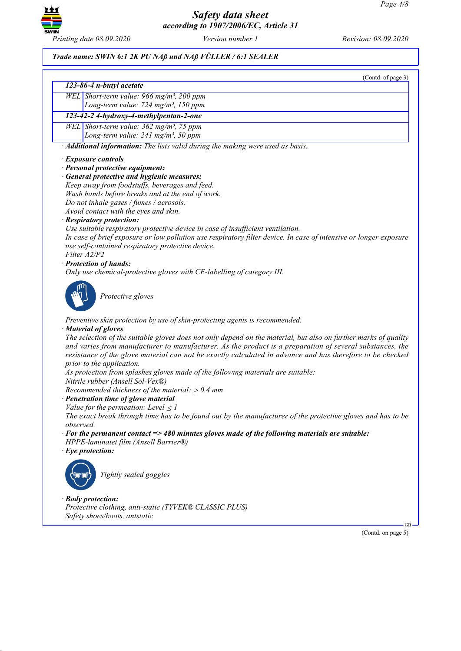

## *Trade name: SWIN 6:1 2K PU NAß und NAß FÜLLER / 6:1 SEALER*

*Protective clothing, anti-static (TYVEK® CLASSIC PLUS)*

*Safety shoes/boots, antstatic*

| (Contd. of page 3)                                                                                                                      |
|-----------------------------------------------------------------------------------------------------------------------------------------|
| 123-86-4 n-butyl acetate                                                                                                                |
| WEL Short-term value: 966 mg/m <sup>3</sup> , 200 ppm                                                                                   |
| Long-term value: 724 mg/m <sup>3</sup> , 150 ppm                                                                                        |
| 123-42-2 4-hydroxy-4-methylpentan-2-one                                                                                                 |
| WEL Short-term value: 362 mg/m <sup>3</sup> , 75 ppm                                                                                    |
| Long-term value: 241 mg/m <sup>3</sup> , 50 ppm                                                                                         |
| · Additional information: The lists valid during the making were used as basis.                                                         |
| · Exposure controls                                                                                                                     |
| · Personal protective equipment:                                                                                                        |
| · General protective and hygienic measures:                                                                                             |
| Keep away from foodstuffs, beverages and feed.                                                                                          |
| Wash hands before breaks and at the end of work.                                                                                        |
| Do not inhale gases / fumes / aerosols.                                                                                                 |
| Avoid contact with the eyes and skin.                                                                                                   |
| · Respiratory protection:                                                                                                               |
| Use suitable respiratory protective device in case of insufficient ventilation.                                                         |
| In case of brief exposure or low pollution use respiratory filter device. In case of intensive or longer exposure                       |
| use self-contained respiratory protective device.                                                                                       |
| Filter A2/P2                                                                                                                            |
| · Protection of hands:                                                                                                                  |
| Only use chemical-protective gloves with CE-labelling of category III.                                                                  |
| Protective gloves                                                                                                                       |
| Preventive skin protection by use of skin-protecting agents is recommended.                                                             |
| · Material of gloves<br>The selection of the suitable gloves does not only depend on the material, but also on further marks of quality |
| and varies from manufacturer to manufacturer. As the product is a preparation of several substances, the                                |
| resistance of the glove material can not be exactly calculated in advance and has therefore to be checked                               |
| prior to the application.                                                                                                               |
| As protection from splashes gloves made of the following materials are suitable:                                                        |
| Nitrile rubber (Ansell Sol-Vex®)                                                                                                        |
| Recommended thickness of the material: $\geq 0.4$ mm                                                                                    |
| · Penetration time of glove material<br>Value for the permeation: Level $\leq$ 1                                                        |
| The exact break through time has to be found out by the manufacturer of the protective gloves and has to be                             |
| observed.                                                                                                                               |
| $\cdot$ For the permanent contact => 480 minutes gloves made of the following materials are suitable:                                   |
| HPPE-laminatet film (Ansell Barrier®)                                                                                                   |
| $\cdot$ Eye protection:                                                                                                                 |
|                                                                                                                                         |
| Tightly sealed goggles                                                                                                                  |
| · Body protection:                                                                                                                      |

(Contd. on page 5)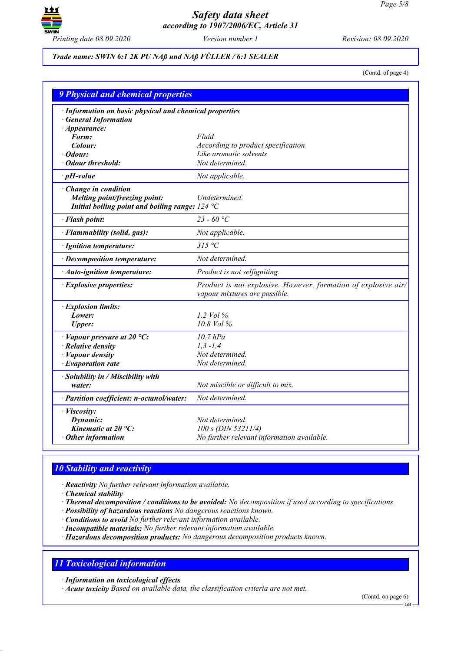

## *Trade name: SWIN 6:1 2K PU NAß und NAß FÜLLER / 6:1 SEALER*

(Contd. of page 4)

| <b>9 Physical and chemical properties</b>                                             |                                                                                                 |  |  |
|---------------------------------------------------------------------------------------|-------------------------------------------------------------------------------------------------|--|--|
| · Information on basic physical and chemical properties<br><b>General Information</b> |                                                                                                 |  |  |
| $\cdot$ Appearance:<br>Form:                                                          | Fluid                                                                                           |  |  |
| Colour:                                                                               | According to product specification                                                              |  |  |
| Odour:                                                                                | Like aromatic solvents                                                                          |  |  |
| <b>Odour threshold:</b>                                                               | Not determined.                                                                                 |  |  |
| $\cdot$ pH-value                                                                      | Not applicable.                                                                                 |  |  |
| · Change in condition                                                                 |                                                                                                 |  |  |
| Melting point/freezing point:                                                         | Undetermined.                                                                                   |  |  |
| Initial boiling point and boiling range: $124 \text{ }^{\circ}\text{C}$               |                                                                                                 |  |  |
| · Flash point:                                                                        | 23 - 60 °C                                                                                      |  |  |
| · Flammability (solid, gas):                                                          | Not applicable.                                                                                 |  |  |
| · Ignition temperature:                                                               | 315 °C                                                                                          |  |  |
| · Decomposition temperature:                                                          | Not determined.                                                                                 |  |  |
| · Auto-ignition temperature:                                                          | Product is not selfigniting.                                                                    |  |  |
| · Explosive properties:                                                               | Product is not explosive. However, formation of explosive air/<br>vapour mixtures are possible. |  |  |
| · Explosion limits:                                                                   |                                                                                                 |  |  |
| Lower:                                                                                | 1.2 Vol $\%$                                                                                    |  |  |
| <b>Upper:</b>                                                                         | 10.8 Vol %                                                                                      |  |  |
| $\cdot$ Vapour pressure at 20 °C:                                                     | $10.7$ $hPa$                                                                                    |  |  |
| · Relative density                                                                    | $1, 3 - 1, 4$                                                                                   |  |  |
| · Vapour density                                                                      | Not determined.                                                                                 |  |  |
| · Evaporation rate                                                                    | Not determined.                                                                                 |  |  |
| · Solubility in / Miscibility with                                                    |                                                                                                 |  |  |
| water:                                                                                | Not miscible or difficult to mix.                                                               |  |  |
| · Partition coefficient: n-octanol/water:                                             | Not determined.                                                                                 |  |  |
| · Viscosity:                                                                          |                                                                                                 |  |  |
| Dynamic:                                                                              | Not determined.                                                                                 |  |  |
| Kinematic at $20^{\circ}$ C:                                                          | 100 s (DIN 53211/4)                                                                             |  |  |
| Other information                                                                     | No further relevant information available.                                                      |  |  |

## *10 Stability and reactivity*

*· Reactivity No further relevant information available.*

*· Chemical stability*

*· Thermal decomposition / conditions to be avoided: No decomposition if used according to specifications.*

*· Possibility of hazardous reactions No dangerous reactions known.*

*· Conditions to avoid No further relevant information available.*

*· Incompatible materials: No further relevant information available.*

*· Hazardous decomposition products: No dangerous decomposition products known.*

# *11 Toxicological information*

*· Information on toxicological effects*

*· Acute toxicity Based on available data, the classification criteria are not met.*

(Contd. on page 6)

GB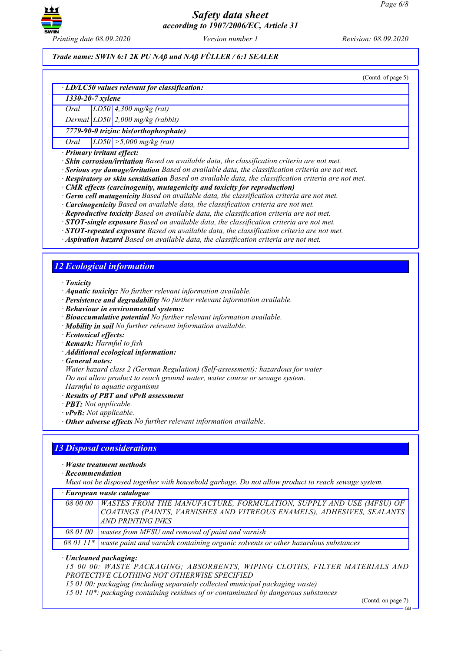

*Printing date 08.09.2020 Version number 1 Revision: 08.09.2020*

*Trade name: SWIN 6:1 2K PU NAß und NAß FÜLLER / 6:1 SEALER*

(Contd. of page 5)

#### *· LD/LC50 values relevant for classification:*

*1330-20-7 xylene*

*Oral LD50 4,300 mg/kg (rat)*

*Dermal LD50 2,000 mg/kg (rabbit)*

*7779-90-0 trizinc bis(orthophosphate)*

*Oral LD50 >5,000 mg/kg (rat)*

*· Primary irritant effect:*

*· Skin corrosion/irritation Based on available data, the classification criteria are not met.*

*· Serious eye damage/irritation Based on available data, the classification criteria are not met.*

*· Respiratory or skin sensitisation Based on available data, the classification criteria are not met.*

*· CMR effects (carcinogenity, mutagenicity and toxicity for reproduction)*

*· Germ cell mutagenicity Based on available data, the classification criteria are not met.*

*· Carcinogenicity Based on available data, the classification criteria are not met.*

*· Reproductive toxicity Based on available data, the classification criteria are not met.*

*· STOT-single exposure Based on available data, the classification criteria are not met.*

*· STOT-repeated exposure Based on available data, the classification criteria are not met.*

*· Aspiration hazard Based on available data, the classification criteria are not met.*

## *12 Ecological information*

*· Toxicity*

- *· Aquatic toxicity: No further relevant information available.*
- *· Persistence and degradability No further relevant information available.*
- *· Behaviour in environmental systems:*

*· Bioaccumulative potential No further relevant information available.*

*· Mobility in soil No further relevant information available.*

*· Ecotoxical effects:*

*· Remark: Harmful to fish*

*· Additional ecological information:*

*· General notes:*

*Water hazard class 2 (German Regulation) (Self-assessment): hazardous for water Do not allow product to reach ground water, water course or sewage system.*

*Harmful to aquatic organisms*

*· Results of PBT and vPvB assessment*

*· PBT: Not applicable.*

*· vPvB: Not applicable.*

*· Other adverse effects No further relevant information available.*

### *13 Disposal considerations*

*· Waste treatment methods*

*· Recommendation*

*Must not be disposed together with household garbage. Do not allow product to reach sewage system.*

| · European waste catalogue |  |  |
|----------------------------|--|--|
|----------------------------|--|--|

| 08 00 00   WASTES FROM THE MANUFACTURE, FORMULATION, SUPPLY AND USE (MFSU) OF               |
|---------------------------------------------------------------------------------------------|
| COATINGS (PAINTS, VARNISHES AND VITREOUS ENAMELS), ADHESIVES, SEALANTS                      |
| AND PRINTING INKS                                                                           |
| 08 01 00 wastes from MFSU and removal of paint and varnish                                  |
| 08 01 11* waste paint and varnish containing organic solvents or other hazardous substances |

*· Uncleaned packaging:*

*15 00 00: WASTE PACKAGING; ABSORBENTS, WIPING CLOTHS, FILTER MATERIALS AND PROTECTIVE CLOTHING NOT OTHERWISE SPECIFIED*

*15 01 00: packaging (including separately collected municipal packaging waste)*

*15 01 10\*: packaging containing residues of or contaminated by dangerous substances*

(Contd. on page 7)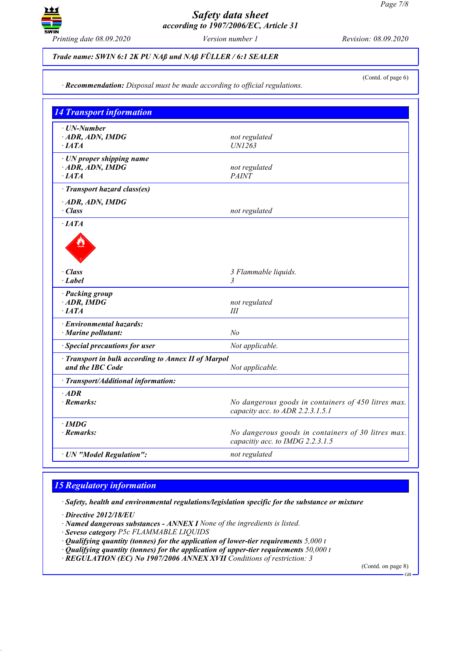

## *Trade name: SWIN 6:1 2K PU NAß und NAß FÜLLER / 6:1 SEALER*

(Contd. of page 6)

*· Recommendation: Disposal must be made according to official regulations.*

| <b>14 Transport information</b>                                         |                                                                                         |  |
|-------------------------------------------------------------------------|-----------------------------------------------------------------------------------------|--|
| · UN-Number<br>ADR, ADN, IMDG<br>$\cdot$ [ATA                           | not regulated<br><b>UN1263</b>                                                          |  |
| · UN proper shipping name<br>$\cdot$ ADR, ADN, IMDG<br>$\cdot$ IATA     | not regulated<br><b>PAINT</b>                                                           |  |
| · Transport hazard class(es)                                            |                                                                                         |  |
| ADR, ADN, IMDG<br>$\cdot$ Class                                         | not regulated                                                                           |  |
| ·IATA                                                                   |                                                                                         |  |
| · Class<br>· Label                                                      | 3 Flammable liquids.<br>3                                                               |  |
| · Packing group<br>$\cdot$ ADR, IMDG<br>$\cdot$ IATA                    | not regulated<br>Ш                                                                      |  |
| · Environmental hazards:<br>· Marine pollutant:                         | N <sub>o</sub>                                                                          |  |
| · Special precautions for user                                          | Not applicable.                                                                         |  |
| · Transport in bulk according to Annex II of Marpol<br>and the IBC Code | Not applicable.                                                                         |  |
| · Transport/Additional information:                                     |                                                                                         |  |
| $·$ <i>ADR</i><br>· Remarks:                                            | No dangerous goods in containers of 450 litres max.<br>capacity acc. to ADR 2.2.3.1.5.1 |  |
| $\cdot$ IMDG<br>· Remarks:                                              | No dangerous goods in containers of 30 litres max.<br>capacitiy acc. to IMDG 2.2.3.1.5  |  |
| · UN "Model Regulation":                                                | not regulated                                                                           |  |

## *15 Regulatory information*

*· Safety, health and environmental regulations/legislation specific for the substance or mixture*

*· Directive 2012/18/EU*

- *· Named dangerous substances - ANNEX I None of the ingredients is listed.*
- *· Seveso category P5c FLAMMABLE LIQUIDS*
- *· Qualifying quantity (tonnes) for the application of lower-tier requirements 5,000 t*
- *· Qualifying quantity (tonnes) for the application of upper-tier requirements 50,000 t*
- *· REGULATION (EC) No 1907/2006 ANNEX XVII Conditions of restriction: 3*

(Contd. on page 8)